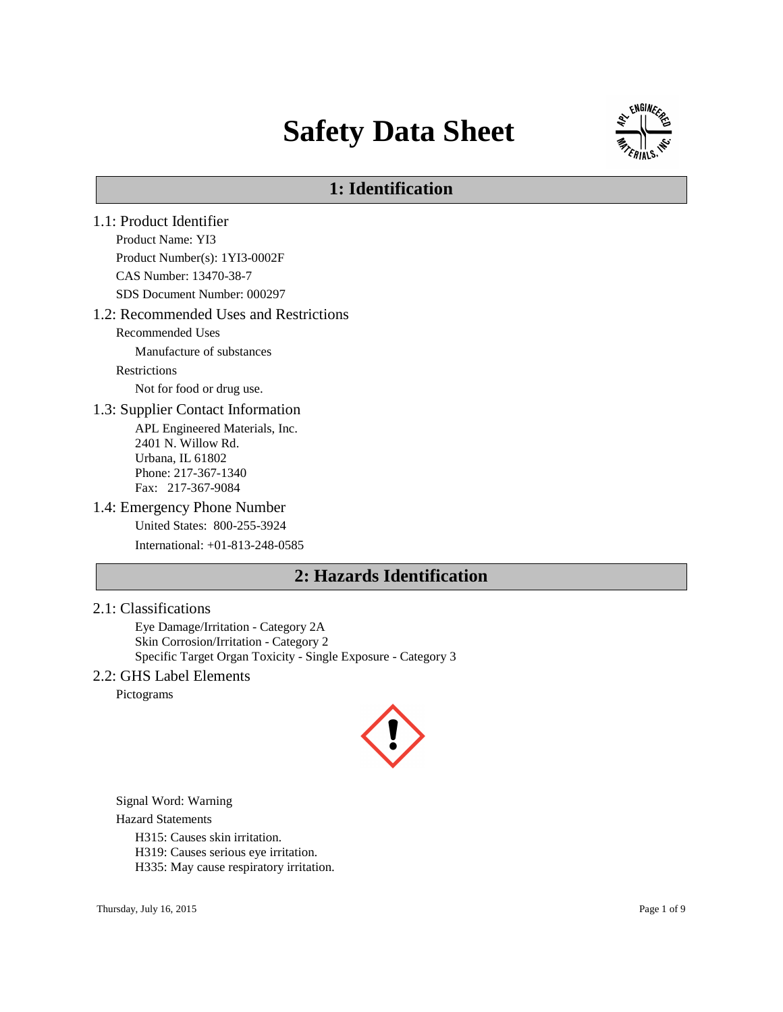# **Safety Data Sheet**



# **1: Identification**

1.1: Product Identifier Product Name: YI3 Product Number(s): 1YI3-0002F CAS Number: 13470-38-7 SDS Document Number: 000297 1.2: Recommended Uses and Restrictions Recommended Uses Manufacture of substances Restrictions Not for food or drug use. 1.3: Supplier Contact Information APL Engineered Materials, Inc. 2401 N. Willow Rd. Urbana, IL 61802 Phone: 217-367-1340 Fax: 217-367-9084 1.4: Emergency Phone Number United States: 800-255-3924 International: +01-813-248-0585 **2: Hazards Identification**

#### 2.1: Classifications

Eye Damage/Irritation - Category 2A Skin Corrosion/Irritation - Category 2 Specific Target Organ Toxicity - Single Exposure - Category 3

#### 2.2: GHS Label Elements

Pictograms



Signal Word: Warning

Hazard Statements

H315: Causes skin irritation.

H319: Causes serious eye irritation.

H335: May cause respiratory irritation.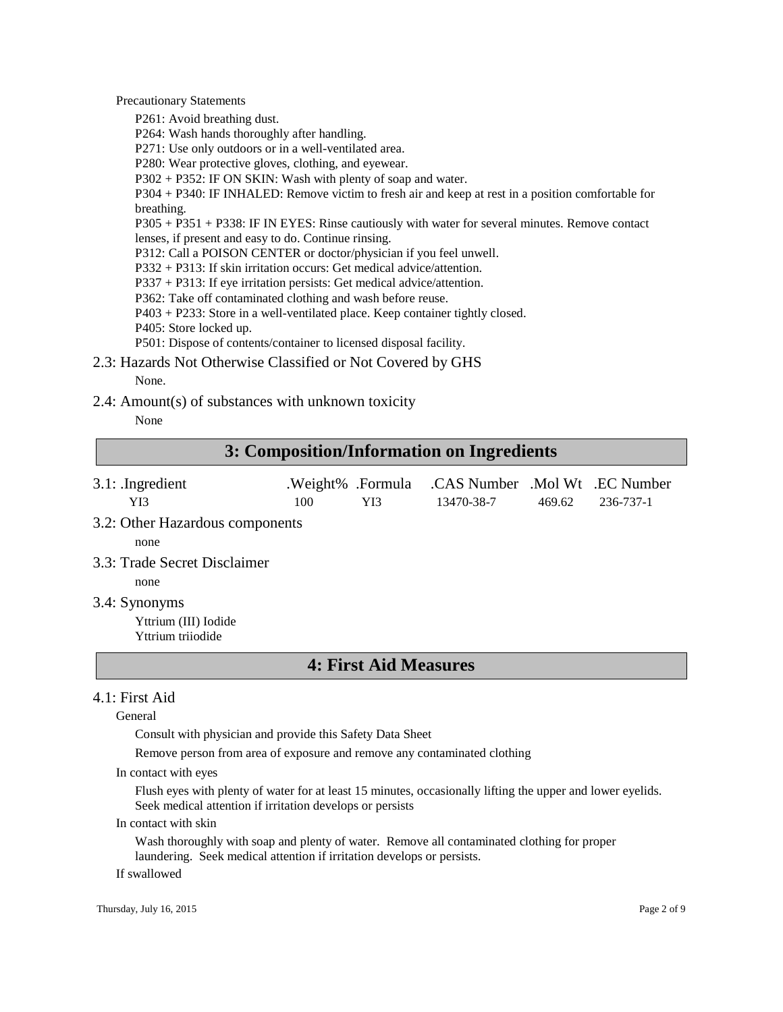Precautionary Statements

P261: Avoid breathing dust.

P264: Wash hands thoroughly after handling.

P271: Use only outdoors or in a well-ventilated area.

P280: Wear protective gloves, clothing, and eyewear.

P302 + P352: IF ON SKIN: Wash with plenty of soap and water.

P304 + P340: IF INHALED: Remove victim to fresh air and keep at rest in a position comfortable for breathing.

P305 + P351 + P338: IF IN EYES: Rinse cautiously with water for several minutes. Remove contact lenses, if present and easy to do. Continue rinsing.

P312: Call a POISON CENTER or doctor/physician if you feel unwell.

P332 + P313: If skin irritation occurs: Get medical advice/attention.

P337 + P313: If eye irritation persists: Get medical advice/attention.

P362: Take off contaminated clothing and wash before reuse.

P403 + P233: Store in a well-ventilated place. Keep container tightly closed.

P405: Store locked up.

P501: Dispose of contents/container to licensed disposal facility.

2.3: Hazards Not Otherwise Classified or Not Covered by GHS

None.

2.4: Amount(s) of substances with unknown toxicity

None

## **3: Composition/Information on Ingredients**

- 3.1: .Ingredient .Weight% .Formula .CAS Number .Mol Wt .EC Number YI3 100 YI3 13470-38-7 469.62 236-737-1
- 3.2: Other Hazardous components

none

3.3: Trade Secret Disclaimer

none

3.4: Synonyms

Yttrium (III) Iodide Yttrium triiodide

## **4: First Aid Measures**

#### 4.1: First Aid

General

Consult with physician and provide this Safety Data Sheet

Remove person from area of exposure and remove any contaminated clothing

In contact with eyes

Flush eyes with plenty of water for at least 15 minutes, occasionally lifting the upper and lower eyelids. Seek medical attention if irritation develops or persists

In contact with skin

Wash thoroughly with soap and plenty of water. Remove all contaminated clothing for proper laundering. Seek medical attention if irritation develops or persists.

If swallowed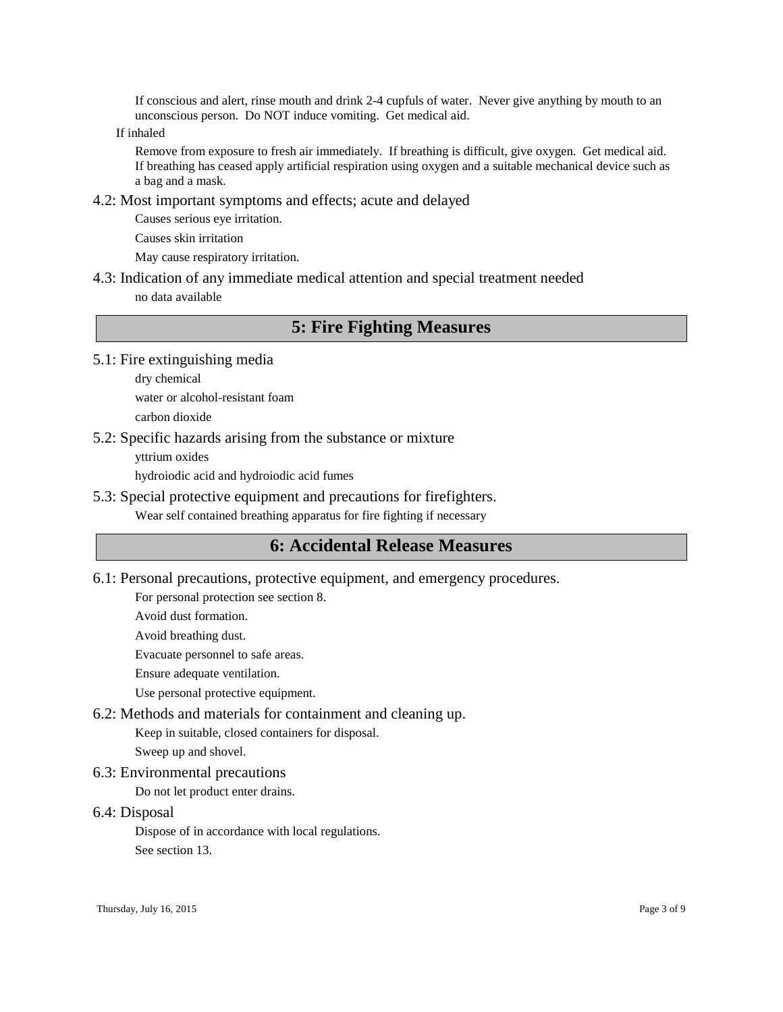If conscious and alert, rinse mouth and drink 2-4 cupfuls of water. Never give anything by mouth to an unconscious person. Do NOT induce vomiting. Get medical aid.

If inhaled

Remove from exposure to fresh air immediately. If breathing is difficult, give oxygen. Get medical aid. If breathing has ceased apply artificial respiration using oxygen and a suitable mechanical device such as a bag and a mask.

4.2: Most important symptoms and effects; acute and delayed

Causes serious eye irritation.

Causes skin irritation

May cause respiratory irritation.

4.3: Indication of any immediate medical attention and special treatment needed no data available

## **5: Fire Fighting Measures**

5.1: Fire extinguishing media

dry chemical water or alcohol-resistant foam carbon dioxide

5.2: Specific hazards arising from the substance or mixture

yttrium oxides

hydroiodic acid and hydroiodic acid fumes

5.3: Special protective equipment and precautions for firefighters.

Wear self contained breathing apparatus for fire fighting if necessary

## **6: Accidental Release Measures**

6.1: Personal precautions, protective equipment, and emergency procedures.

For personal protection see section 8.

Avoid dust formation.

Avoid breathing dust.

Evacuate personnel to safe areas.

Ensure adequate ventilation.

Use personal protective equipment.

## 6.2: Methods and materials for containment and cleaning up.

Keep in suitable, closed containers for disposal.

Sweep up and shovel.

6.3: Environmental precautions

Do not let product enter drains.

6.4: Disposal

Dispose of in accordance with local regulations.

See section 13.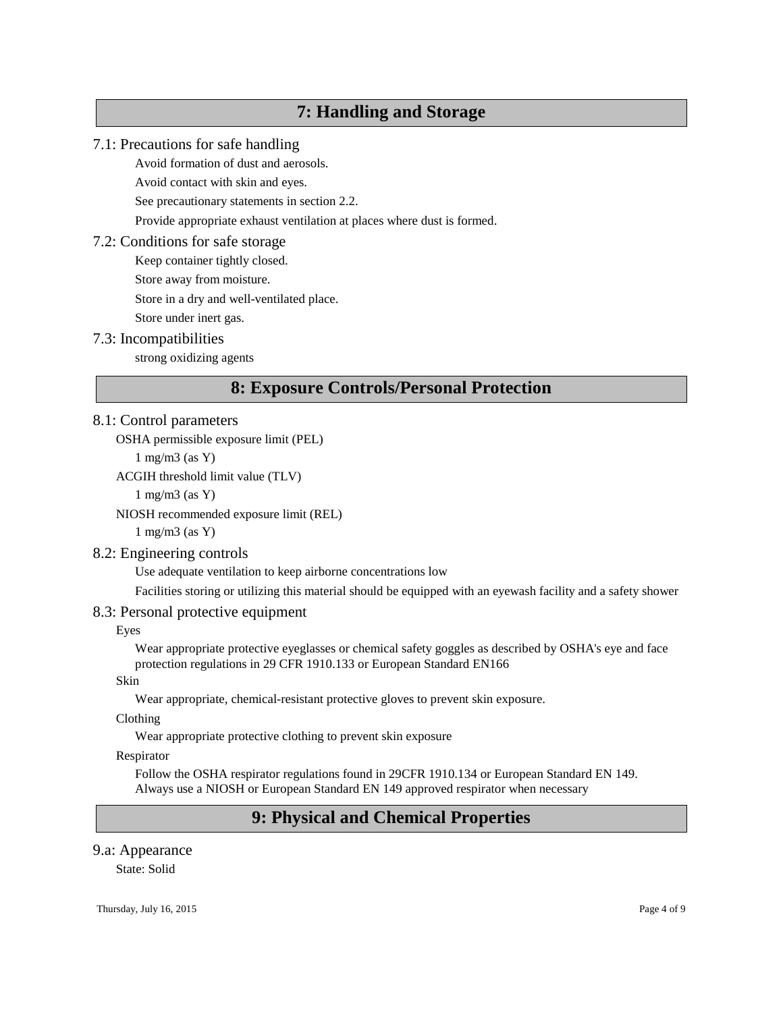# **7: Handling and Storage**

#### 7.1: Precautions for safe handling

Avoid formation of dust and aerosols.

Avoid contact with skin and eyes.

See precautionary statements in section 2.2.

Provide appropriate exhaust ventilation at places where dust is formed.

#### 7.2: Conditions for safe storage

Keep container tightly closed.

Store away from moisture.

Store in a dry and well-ventilated place.

Store under inert gas.

#### 7.3: Incompatibilities

strong oxidizing agents

# **8: Exposure Controls/Personal Protection**

### 8.1: Control parameters

OSHA permissible exposure limit (PEL)

1 mg/m3 (as Y)

ACGIH threshold limit value (TLV)

1 mg/m3 (as Y)

NIOSH recommended exposure limit (REL)

1 mg/m3 (as Y)

#### 8.2: Engineering controls

Use adequate ventilation to keep airborne concentrations low

Facilities storing or utilizing this material should be equipped with an eyewash facility and a safety shower

#### 8.3: Personal protective equipment

Eyes

Wear appropriate protective eyeglasses or chemical safety goggles as described by OSHA's eye and face protection regulations in 29 CFR 1910.133 or European Standard EN166

Skin

Wear appropriate, chemical-resistant protective gloves to prevent skin exposure.

Clothing

Wear appropriate protective clothing to prevent skin exposure

Respirator

Follow the OSHA respirator regulations found in 29CFR 1910.134 or European Standard EN 149. Always use a NIOSH or European Standard EN 149 approved respirator when necessary

# **9: Physical and Chemical Properties**

#### 9.a: Appearance

State: Solid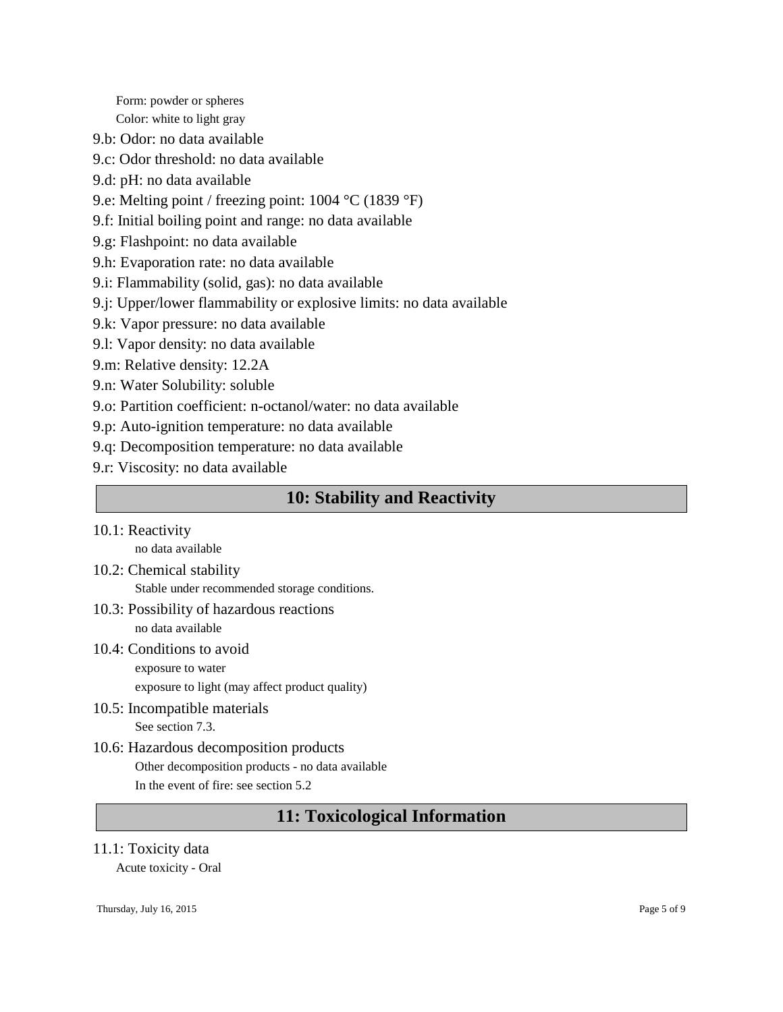Form: powder or spheres Color: white to light gray

- 9.b: Odor: no data available
- 9.c: Odor threshold: no data available
- 9.d: pH: no data available
- 9.e: Melting point / freezing point: 1004 °C (1839 °F)
- 9.f: Initial boiling point and range: no data available
- 9.g: Flashpoint: no data available
- 9.h: Evaporation rate: no data available
- 9.i: Flammability (solid, gas): no data available
- 9.j: Upper/lower flammability or explosive limits: no data available
- 9.k: Vapor pressure: no data available
- 9.l: Vapor density: no data available
- 9.m: Relative density: 12.2A
- 9.n: Water Solubility: soluble
- 9.o: Partition coefficient: n-octanol/water: no data available
- 9.p: Auto-ignition temperature: no data available
- 9.q: Decomposition temperature: no data available
- 9.r: Viscosity: no data available

# **10: Stability and Reactivity**

10.1: Reactivity

no data available

- 10.2: Chemical stability Stable under recommended storage conditions.
- 10.3: Possibility of hazardous reactions

no data available

- 10.4: Conditions to avoid exposure to water
	- exposure to light (may affect product quality)
- 10.5: Incompatible materials See section 7.3.
- 10.6: Hazardous decomposition products Other decomposition products - no data available In the event of fire: see section 5.2

# **11: Toxicological Information**

#### 11.1: Toxicity data

Acute toxicity - Oral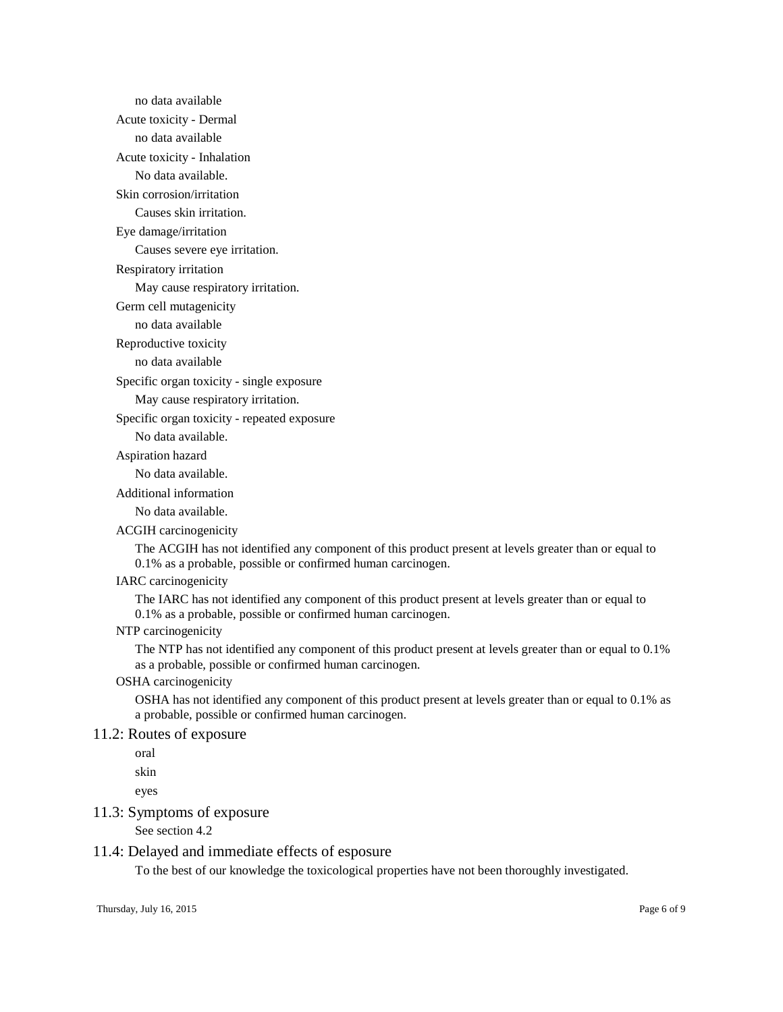no data available Acute toxicity - Dermal no data available Acute toxicity - Inhalation No data available. Skin corrosion/irritation Causes skin irritation.

Eye damage/irritation

Causes severe eye irritation.

Respiratory irritation

May cause respiratory irritation.

Germ cell mutagenicity

no data available

Reproductive toxicity

no data available

Specific organ toxicity - single exposure

May cause respiratory irritation.

Specific organ toxicity - repeated exposure

No data available.

Aspiration hazard

No data available.

Additional information

No data available.

ACGIH carcinogenicity

The ACGIH has not identified any component of this product present at levels greater than or equal to 0.1% as a probable, possible or confirmed human carcinogen.

#### IARC carcinogenicity

The IARC has not identified any component of this product present at levels greater than or equal to 0.1% as a probable, possible or confirmed human carcinogen.

#### NTP carcinogenicity

The NTP has not identified any component of this product present at levels greater than or equal to 0.1% as a probable, possible or confirmed human carcinogen.

#### OSHA carcinogenicity

OSHA has not identified any component of this product present at levels greater than or equal to 0.1% as a probable, possible or confirmed human carcinogen.

#### 11.2: Routes of exposure

oral

skin

eyes

#### 11.3: Symptoms of exposure

See section 4.2

#### 11.4: Delayed and immediate effects of esposure

To the best of our knowledge the toxicological properties have not been thoroughly investigated.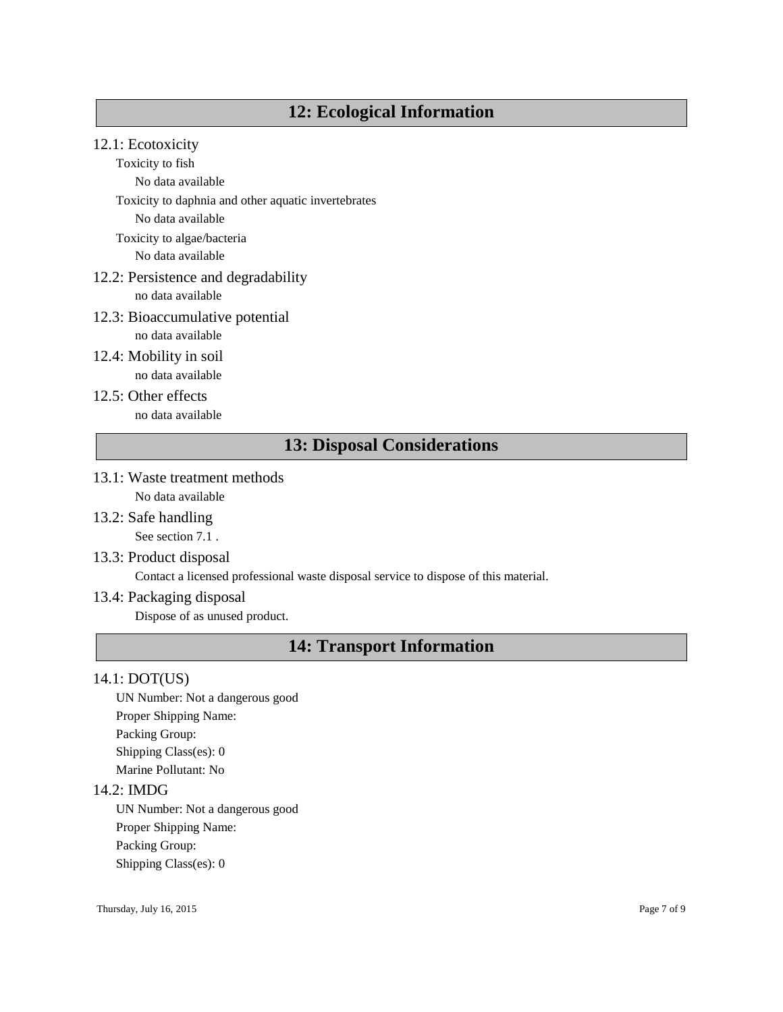# **12: Ecological Information**

## 12.1: Ecotoxicity

Toxicity to fish

No data available

Toxicity to daphnia and other aquatic invertebrates

No data available

Toxicity to algae/bacteria

No data available

## 12.2: Persistence and degradability

no data available

#### 12.3: Bioaccumulative potential

no data available

- 12.4: Mobility in soil no data available
- 12.5: Other effects no data available

# **13: Disposal Considerations**

- 13.1: Waste treatment methods No data available
- 13.2: Safe handling See section 7.1.
- 13.3: Product disposal

Contact a licensed professional waste disposal service to dispose of this material.

#### 13.4: Packaging disposal

Dispose of as unused product.

# **14: Transport Information**

#### 14.1: DOT(US)

UN Number: Not a dangerous good Proper Shipping Name: Packing Group: Shipping Class(es): 0 Marine Pollutant: No

#### 14.2: IMDG

UN Number: Not a dangerous good Proper Shipping Name: Packing Group: Shipping Class(es): 0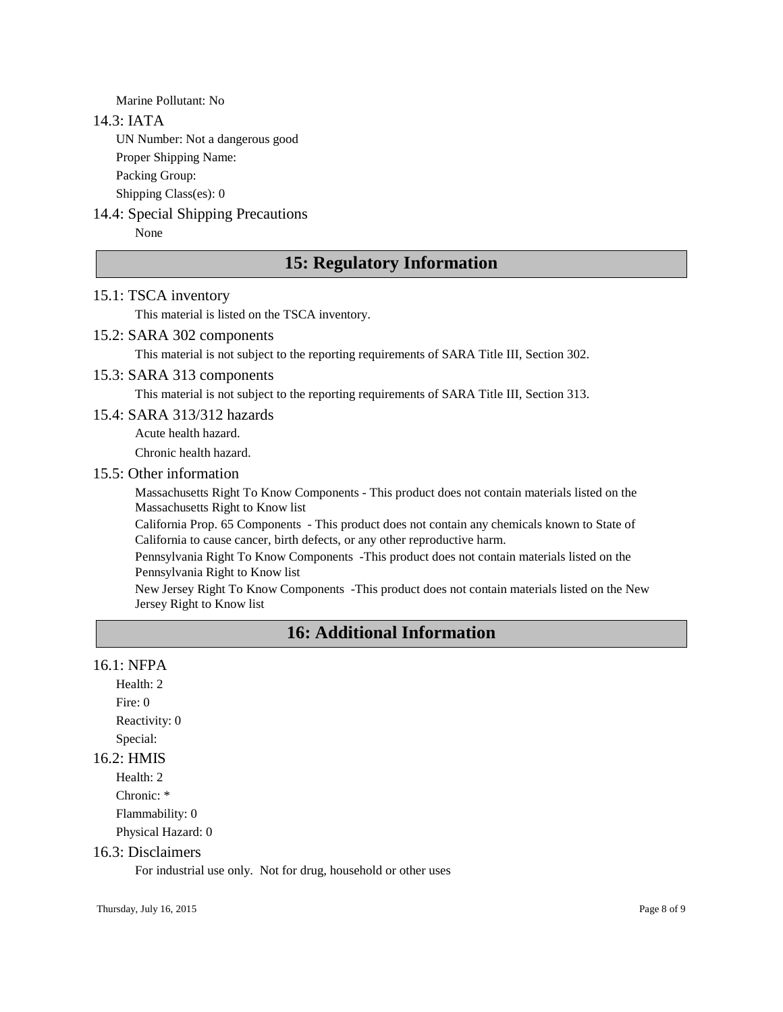Marine Pollutant: No

#### 14.3: IATA

UN Number: Not a dangerous good

Proper Shipping Name:

Packing Group:

Shipping Class(es): 0

#### 14.4: Special Shipping Precautions

None

## **15: Regulatory Information**

#### 15.1: TSCA inventory

This material is listed on the TSCA inventory.

#### 15.2: SARA 302 components

This material is not subject to the reporting requirements of SARA Title III, Section 302.

#### 15.3: SARA 313 components

This material is not subject to the reporting requirements of SARA Title III, Section 313.

#### 15.4: SARA 313/312 hazards

Acute health hazard.

Chronic health hazard.

#### 15.5: Other information

Massachusetts Right To Know Components - This product does not contain materials listed on the Massachusetts Right to Know list

California Prop. 65 Components - This product does not contain any chemicals known to State of California to cause cancer, birth defects, or any other reproductive harm.

Pennsylvania Right To Know Components -This product does not contain materials listed on the Pennsylvania Right to Know list

New Jersey Right To Know Components -This product does not contain materials listed on the New Jersey Right to Know list

## **16: Additional Information**

#### 16.1: NFPA

Health: 2 Fire: 0 Reactivity: 0 Special:

#### 16.2: HMIS

Health: 2 Chronic: \* Flammability: 0 Physical Hazard: 0

#### 16.3: Disclaimers

For industrial use only. Not for drug, household or other uses